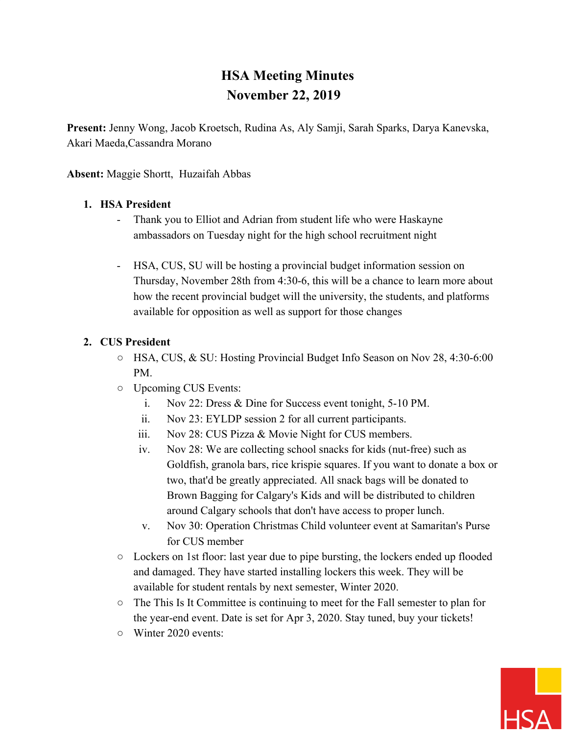# **HSA Meeting Minutes November 22, 2019**

**Present:** Jenny Wong, Jacob Kroetsch, Rudina As, Aly Samji, Sarah Sparks, Darya Kanevska, Akari Maeda,Cassandra Morano

**Absent:** Maggie Shortt, Huzaifah Abbas

#### **1. HSA President**

- Thank you to Elliot and Adrian from student life who were Haskayne ambassadors on Tuesday night for the high school recruitment night
- HSA, CUS, SU will be hosting a provincial budget information session on Thursday, November 28th from 4:30-6, this will be a chance to learn more about how the recent provincial budget will the university, the students, and platforms available for opposition as well as support for those changes

#### **2. CUS President**

- HSA, CUS, & SU: Hosting Provincial Budget Info Season on Nov 28, 4:30-6:00 PM.
- Upcoming CUS Events:
	- i. Nov 22: Dress & Dine for Success event tonight, 5-10 PM.
	- ii. Nov 23: EYLDP session 2 for all current participants.
	- iii. Nov 28: CUS Pizza & Movie Night for CUS members.
	- iv. Nov 28: We are collecting school snacks for kids (nut-free) such as Goldfish, granola bars, rice krispie squares. If you want to donate a box or two, that'd be greatly appreciated. All snack bags will be donated to Brown Bagging for Calgary's Kids and will be distributed to children around Calgary schools that don't have access to proper lunch.
	- v. Nov 30: Operation Christmas Child volunteer event at Samaritan's Purse for CUS member
- $\circ$  Lockers on 1st floor: last year due to pipe bursting, the lockers ended up flooded and damaged. They have started installing lockers this week. They will be available for student rentals by next semester, Winter 2020.
- The This Is It Committee is continuing to meet for the Fall semester to plan for the year-end event. Date is set for Apr 3, 2020. Stay tuned, buy your tickets!
- Winter 2020 events:

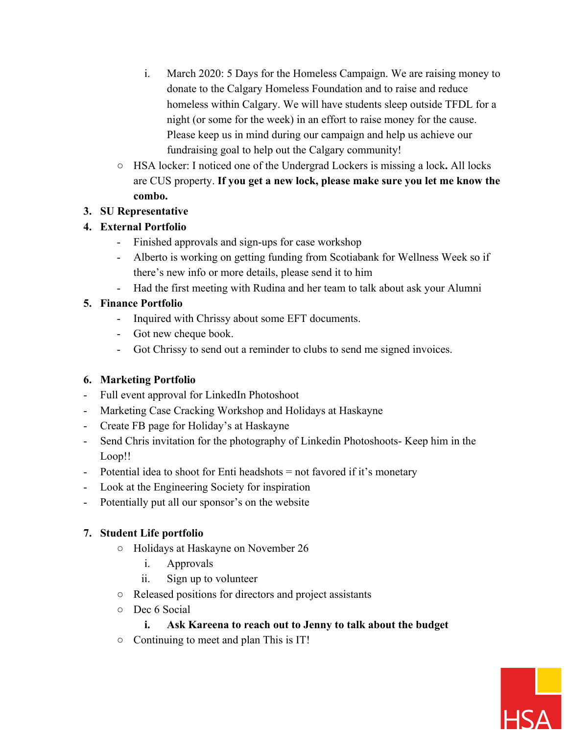- i. March 2020: 5 Days for the Homeless Campaign. We are raising money to donate to the Calgary Homeless Foundation and to raise and reduce homeless within Calgary. We will have students sleep outside TFDL for a night (or some for the week) in an effort to raise money for the cause. Please keep us in mind during our campaign and help us achieve our fundraising goal to help out the Calgary community!
- HSA locker: I noticed one of the Undergrad Lockers is missing a lock**.** All locks are CUS property. **If you get a new lock, please make sure you let me know the combo.**

#### **3. SU Representative**

# **4. External Portfolio**

- Finished approvals and sign-ups for case workshop
- Alberto is working on getting funding from Scotiabank for Wellness Week so if there's new info or more details, please send it to him
- Had the first meeting with Rudina and her team to talk about ask your Alumni

# **5. Finance Portfolio**

- Inquired with Chrissy about some EFT documents.
- Got new cheque book.
- Got Chrissy to send out a reminder to clubs to send me signed invoices.

# **6. Marketing Portfolio**

- Full event approval for LinkedIn Photoshoot
- Marketing Case Cracking Workshop and Holidays at Haskayne
- Create FB page for Holiday's at Haskayne
- Send Chris invitation for the photography of Linkedin Photoshoots- Keep him in the Loop!!
- Potential idea to shoot for Enti headshots = not favored if it's monetary
- Look at the Engineering Society for inspiration
- Potentially put all our sponsor's on the website

# **7. Student Life portfolio**

- Holidays at Haskayne on November 26
	- i. Approvals
	- ii. Sign up to volunteer
- Released positions for directors and project assistants
- Dec 6 Social

# **i. Ask Kareena to reach out to Jenny to talk about the budget**

○ Continuing to meet and plan This is IT!

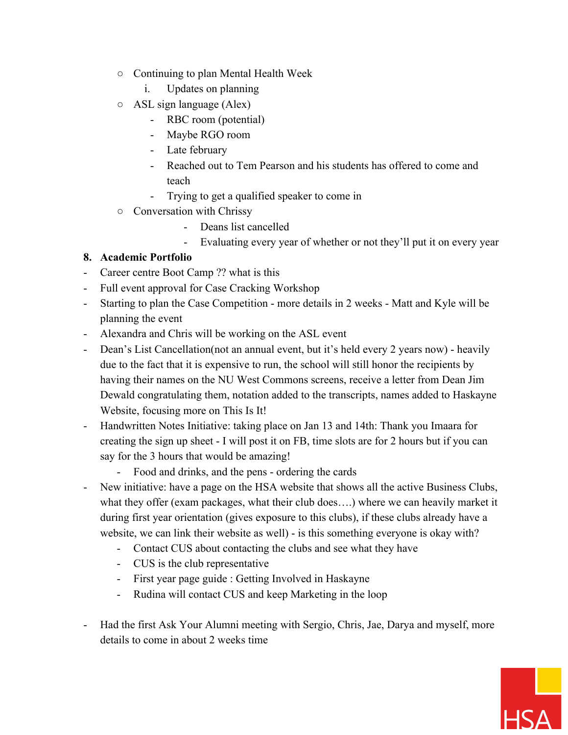- Continuing to plan Mental Health Week
	- i. Updates on planning
- $\circ$  ASL sign language (Alex)
	- RBC room (potential)
	- Maybe RGO room
	- Late february
	- Reached out to Tem Pearson and his students has offered to come and teach
	- Trying to get a qualified speaker to come in
- Conversation with Chrissy
	- Deans list cancelled
	- Evaluating every year of whether or not they'll put it on every year

#### **8. Academic Portfolio**

- Career centre Boot Camp ?? what is this
- Full event approval for Case Cracking Workshop
- Starting to plan the Case Competition more details in 2 weeks Matt and Kyle will be planning the event
- Alexandra and Chris will be working on the ASL event
- Dean's List Cancellation(not an annual event, but it's held every 2 years now) heavily due to the fact that it is expensive to run, the school will still honor the recipients by having their names on the NU West Commons screens, receive a letter from Dean Jim Dewald congratulating them, notation added to the transcripts, names added to Haskayne Website, focusing more on This Is It!
- Handwritten Notes Initiative: taking place on Jan 13 and 14th: Thank you Imaara for creating the sign up sheet - I will post it on FB, time slots are for 2 hours but if you can say for the 3 hours that would be amazing!
	- Food and drinks, and the pens ordering the cards
- New initiative: have a page on the HSA website that shows all the active Business Clubs, what they offer (exam packages, what their club does….) where we can heavily market it during first year orientation (gives exposure to this clubs), if these clubs already have a website, we can link their website as well) - is this something everyone is okay with?
	- Contact CUS about contacting the clubs and see what they have
	- CUS is the club representative
	- First year page guide : Getting Involved in Haskayne
	- Rudina will contact CUS and keep Marketing in the loop
- Had the first Ask Your Alumni meeting with Sergio, Chris, Jae, Darya and myself, more details to come in about 2 weeks time